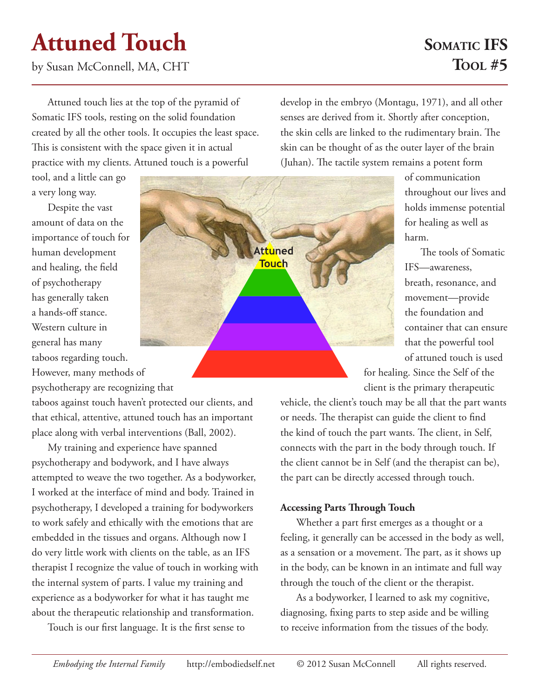# **Attuned Touch**

by Susan McConnell, MA, CHT

## **SOMATIC IFS Tool #5**

Attuned touch lies at the top of the pyramid of Somatic IFS tools, resting on the solid foundation created by all the other tools. It occupies the least space. This is consistent with the space given it in actual practice with my clients. Attuned touch is a powerful

tool, and a little can go a very long way.

Despite the vast amount of data on the importance of touch for human development and healing, the field of psychotherapy has generally taken a hands-off stance. Western culture in general has many taboos regarding touch. However, many methods of psychotherapy are recognizing that

taboos against touch haven't protected our clients, and that ethical, attentive, attuned touch has an important place along with verbal interventions (Ball, 2002).

My training and experience have spanned psychotherapy and bodywork, and I have always attempted to weave the two together. As a bodyworker, I worked at the interface of mind and body. Trained in psychotherapy, I developed a training for bodyworkers to work safely and ethically with the emotions that are embedded in the tissues and organs. Although now I do very little work with clients on the table, as an IFS therapist I recognize the value of touch in working with the internal system of parts. I value my training and experience as a bodyworker for what it has taught me about the therapeutic relationship and transformation.

Touch is our first language. It is the first sense to

develop in the embryo (Montagu, 1971), and all other senses are derived from it. Shortly after conception, the skin cells are linked to the rudimentary brain. The skin can be thought of as the outer layer of the brain (Juhan). The tactile system remains a potent form

> of communication throughout our lives and holds immense potential for healing as well as harm.

The tools of Somatic IFS—awareness, breath, resonance, and movement—provide the foundation and container that can ensure that the powerful tool of attuned touch is used

for healing. Since the Self of the client is the primary therapeutic

vehicle, the client's touch may be all that the part wants or needs. The therapist can guide the client to find the kind of touch the part wants. The client, in Self, connects with the part in the body through touch. If the client cannot be in Self (and the therapist can be), the part can be directly accessed through touch.

### **Accessing Parts Through Touch**

Whether a part first emerges as a thought or a feeling, it generally can be accessed in the body as well, as a sensation or a movement. The part, as it shows up in the body, can be known in an intimate and full way through the touch of the client or the therapist.

As a bodyworker, I learned to ask my cognitive, diagnosing, fixing parts to step aside and be willing to receive information from the tissues of the body.

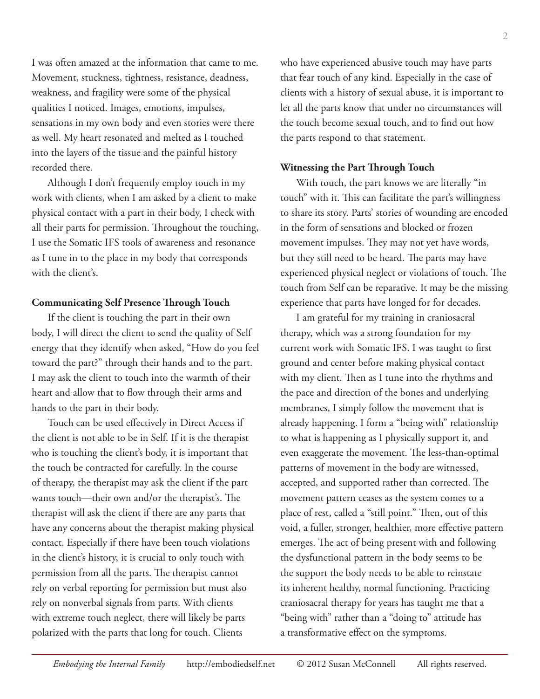I was often amazed at the information that came to me. Movement, stuckness, tightness, resistance, deadness, weakness, and fragility were some of the physical qualities I noticed. Images, emotions, impulses, sensations in my own body and even stories were there as well. My heart resonated and melted as I touched into the layers of the tissue and the painful history recorded there.

Although I don't frequently employ touch in my work with clients, when I am asked by a client to make physical contact with a part in their body, I check with all their parts for permission. Throughout the touching, I use the Somatic IFS tools of awareness and resonance as I tune in to the place in my body that corresponds with the client's.

#### **Communicating Self Presence Through Touch**

If the client is touching the part in their own body, I will direct the client to send the quality of Self energy that they identify when asked, "How do you feel toward the part?" through their hands and to the part. I may ask the client to touch into the warmth of their heart and allow that to flow through their arms and hands to the part in their body.

Touch can be used effectively in Direct Access if the client is not able to be in Self. If it is the therapist who is touching the client's body, it is important that the touch be contracted for carefully. In the course of therapy, the therapist may ask the client if the part wants touch—their own and/or the therapist's. The therapist will ask the client if there are any parts that have any concerns about the therapist making physical contact. Especially if there have been touch violations in the client's history, it is crucial to only touch with permission from all the parts. The therapist cannot rely on verbal reporting for permission but must also rely on nonverbal signals from parts. With clients with extreme touch neglect, there will likely be parts polarized with the parts that long for touch. Clients

who have experienced abusive touch may have parts that fear touch of any kind. Especially in the case of clients with a history of sexual abuse, it is important to let all the parts know that under no circumstances will the touch become sexual touch, and to find out how the parts respond to that statement.

#### **Witnessing the Part Through Touch**

With touch, the part knows we are literally "in touch" with it. This can facilitate the part's willingness to share its story. Parts' stories of wounding are encoded in the form of sensations and blocked or frozen movement impulses. They may not yet have words, but they still need to be heard. The parts may have experienced physical neglect or violations of touch. The touch from Self can be reparative. It may be the missing experience that parts have longed for for decades.

I am grateful for my training in craniosacral therapy, which was a strong foundation for my current work with Somatic IFS. I was taught to first ground and center before making physical contact with my client. Then as I tune into the rhythms and the pace and direction of the bones and underlying membranes, I simply follow the movement that is already happening. I form a "being with" relationship to what is happening as I physically support it, and even exaggerate the movement. The less-than-optimal patterns of movement in the body are witnessed, accepted, and supported rather than corrected. The movement pattern ceases as the system comes to a place of rest, called a "still point." Then, out of this void, a fuller, stronger, healthier, more effective pattern emerges. The act of being present with and following the dysfunctional pattern in the body seems to be the support the body needs to be able to reinstate its inherent healthy, normal functioning. Practicing craniosacral therapy for years has taught me that a "being with" rather than a "doing to" attitude has a transformative effect on the symptoms.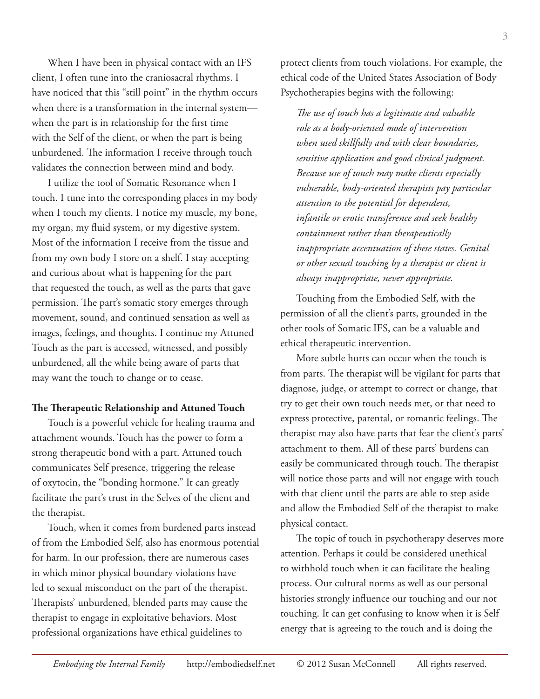When I have been in physical contact with an IFS client, I often tune into the craniosacral rhythms. I have noticed that this "still point" in the rhythm occurs when there is a transformation in the internal system when the part is in relationship for the first time with the Self of the client, or when the part is being unburdened. The information I receive through touch validates the connection between mind and body.

I utilize the tool of Somatic Resonance when I touch. I tune into the corresponding places in my body when I touch my clients. I notice my muscle, my bone, my organ, my fluid system, or my digestive system. Most of the information I receive from the tissue and from my own body I store on a shelf. I stay accepting and curious about what is happening for the part that requested the touch, as well as the parts that gave permission. The part's somatic story emerges through movement, sound, and continued sensation as well as images, feelings, and thoughts. I continue my Attuned Touch as the part is accessed, witnessed, and possibly unburdened, all the while being aware of parts that may want the touch to change or to cease.

#### **The Therapeutic Relationship and Attuned Touch**

Touch is a powerful vehicle for healing trauma and attachment wounds. Touch has the power to form a strong therapeutic bond with a part. Attuned touch communicates Self presence, triggering the release of oxytocin, the "bonding hormone." It can greatly facilitate the part's trust in the Selves of the client and the therapist.

Touch, when it comes from burdened parts instead of from the Embodied Self, also has enormous potential for harm. In our profession, there are numerous cases in which minor physical boundary violations have led to sexual misconduct on the part of the therapist. Therapists' unburdened, blended parts may cause the therapist to engage in exploitative behaviors. Most professional organizations have ethical guidelines to

protect clients from touch violations. For example, the ethical code of the United States Association of Body Psychotherapies begins with the following:

*The use of touch has a legitimate and valuable role as a body-oriented mode of intervention when used skillfully and with clear boundaries, sensitive application and good clinical judgment. Because use of touch may make clients especially vulnerable, body-oriented therapists pay particular attention to the potential for dependent, infantile or erotic transference and seek healthy containment rather than therapeutically inappropriate accentuation of these states. Genital or other sexual touching by a therapist or client is always inappropriate, never appropriate.*

Touching from the Embodied Self, with the permission of all the client's parts, grounded in the other tools of Somatic IFS, can be a valuable and ethical therapeutic intervention.

More subtle hurts can occur when the touch is from parts. The therapist will be vigilant for parts that diagnose, judge, or attempt to correct or change, that try to get their own touch needs met, or that need to express protective, parental, or romantic feelings. The therapist may also have parts that fear the client's parts' attachment to them. All of these parts' burdens can easily be communicated through touch. The therapist will notice those parts and will not engage with touch with that client until the parts are able to step aside and allow the Embodied Self of the therapist to make physical contact.

The topic of touch in psychotherapy deserves more attention. Perhaps it could be considered unethical to withhold touch when it can facilitate the healing process. Our cultural norms as well as our personal histories strongly influence our touching and our not touching. It can get confusing to know when it is Self energy that is agreeing to the touch and is doing the